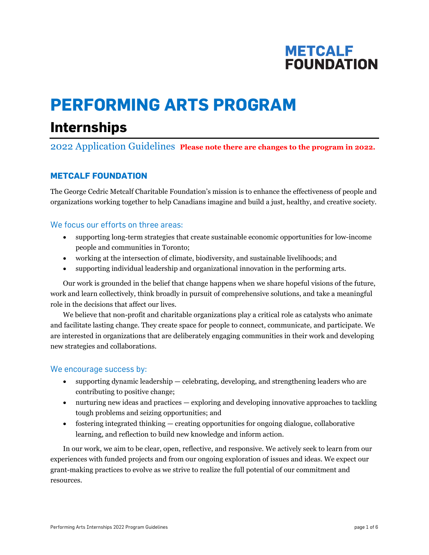## **METCALF FOUNDATION**

# **PERFORMING ARTS PROGRAM**

## **Internships**

## 2022 Application Guidelines **Please note there are changes to the program in 2022.**

## **METCALF FOUNDATION**

The George Cedric Metcalf Charitable Foundation's mission is to enhance the effectiveness of people and organizations working together to help Canadians imagine and build a just, healthy, and creative society.

## We focus our efforts on three areas:

- supporting long-term strategies that create sustainable economic opportunities for low-income people and communities in Toronto;
- working at the intersection of climate, biodiversity, and sustainable livelihoods; and
- supporting individual leadership and organizational innovation in the performing arts.

Our work is grounded in the belief that change happens when we share hopeful visions of the future, work and learn collectively, think broadly in pursuit of comprehensive solutions, and take a meaningful role in the decisions that affect our lives.

We believe that non-profit and charitable organizations play a critical role as catalysts who animate and facilitate lasting change. They create space for people to connect, communicate, and participate. We are interested in organizations that are deliberately engaging communities in their work and developing new strategies and collaborations.

## We encourage success by:

- supporting dynamic leadership celebrating, developing, and strengthening leaders who are contributing to positive change;
- nurturing new ideas and practices exploring and developing innovative approaches to tackling tough problems and seizing opportunities; and
- fostering integrated thinking creating opportunities for ongoing dialogue, collaborative learning, and reflection to build new knowledge and inform action.

In our work, we aim to be clear, open, reflective, and responsive. We actively seek to learn from our experiences with funded projects and from our ongoing exploration of issues and ideas. We expect our grant-making practices to evolve as we strive to realize the full potential of our commitment and resources.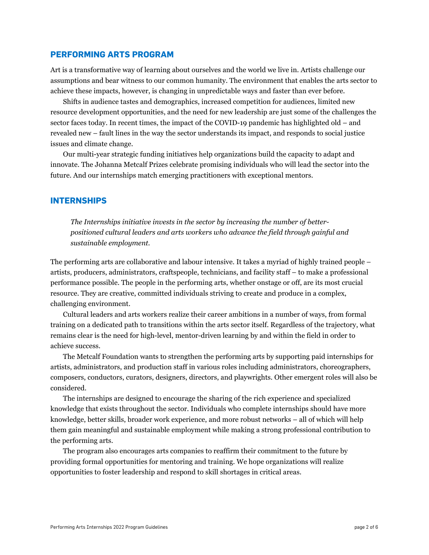### **PERFORMING ARTS PROGRAM**

Art is a transformative way of learning about ourselves and the world we live in. Artists challenge our assumptions and bear witness to our common humanity. The environment that enables the arts sector to achieve these impacts, however, is changing in unpredictable ways and faster than ever before.

Shifts in audience tastes and demographics, increased competition for audiences, limited new resource development opportunities, and the need for new leadership are just some of the challenges the sector faces today. In recent times, the impact of the COVID-19 pandemic has highlighted old – and revealed new – fault lines in the way the sector understands its impact, and responds to social justice issues and climate change.

Our multi-year strategic funding initiatives help organizations build the capacity to adapt and innovate. The Johanna Metcalf Prizes celebrate promising individuals who will lead the sector into the future. And our internships match emerging practitioners with exceptional mentors.

### **INTERNSHIPS**

*The Internships initiative invests in the sector by increasing the number of betterpositioned cultural leaders and arts workers who advance the field through gainful and sustainable employment.* 

The performing arts are collaborative and labour intensive. It takes a myriad of highly trained people – artists, producers, administrators, craftspeople, technicians, and facility staff – to make a professional performance possible. The people in the performing arts, whether onstage or off, are its most crucial resource. They are creative, committed individuals striving to create and produce in a complex, challenging environment.

Cultural leaders and arts workers realize their career ambitions in a number of ways, from formal training on a dedicated path to transitions within the arts sector itself. Regardless of the trajectory, what remains clear is the need for high-level, mentor-driven learning by and within the field in order to achieve success.

The Metcalf Foundation wants to strengthen the performing arts by supporting paid internships for artists, administrators, and production staff in various roles including administrators, choreographers, composers, conductors, curators, designers, directors, and playwrights. Other emergent roles will also be considered.

The internships are designed to encourage the sharing of the rich experience and specialized knowledge that exists throughout the sector. Individuals who complete internships should have more knowledge, better skills, broader work experience, and more robust networks – all of which will help them gain meaningful and sustainable employment while making a strong professional contribution to the performing arts.

The program also encourages arts companies to reaffirm their commitment to the future by providing formal opportunities for mentoring and training. We hope organizations will realize opportunities to foster leadership and respond to skill shortages in critical areas.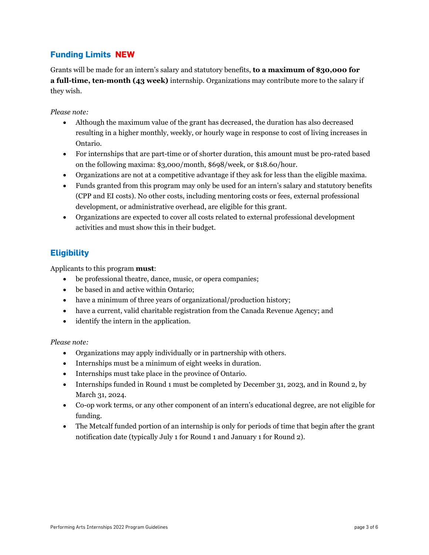## **Funding Limits NEW**

Grants will be made for an intern's salary and statutory benefits, **to a maximum of \$30,000 for a full-time, ten-month (43 week)** internship. Organizations may contribute more to the salary if they wish.

## *Please note:*

- Although the maximum value of the grant has decreased, the duration has also decreased resulting in a higher monthly, weekly, or hourly wage in response to cost of living increases in Ontario.
- For internships that are part-time or of shorter duration, this amount must be pro-rated based on the following maxima: \$3,000/month, \$698/week, or \$18.60/hour.
- Organizations are not at a competitive advantage if they ask for less than the eligible maxima.
- Funds granted from this program may only be used for an intern's salary and statutory benefits (CPP and EI costs). No other costs, including mentoring costs or fees, external professional development, or administrative overhead, are eligible for this grant.
- Organizations are expected to cover all costs related to external professional development activities and must show this in their budget.

## **Eligibility**

Applicants to this program **must**:

- be professional theatre, dance, music, or opera companies;
- be based in and active within Ontario;
- have a minimum of three years of organizational/production history;
- have a current, valid charitable registration from the Canada Revenue Agency; and
- identify the intern in the application.

### *Please note:*

- Organizations may apply individually or in partnership with others.
- Internships must be a minimum of eight weeks in duration.
- Internships must take place in the province of Ontario.
- Internships funded in Round 1 must be completed by December 31, 2023, and in Round 2, by March 31, 2024.
- Co-op work terms, or any other component of an intern's educational degree, are not eligible for funding.
- The Metcalf funded portion of an internship is only for periods of time that begin after the grant notification date (typically July 1 for Round 1 and January 1 for Round 2).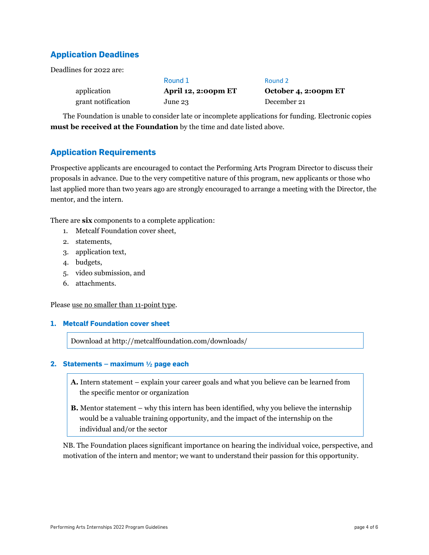## **Application Deadlines**

Deadlines for 2022 are:

|                    | Round 1             | Round 2              |
|--------------------|---------------------|----------------------|
| application        | April 12, 2:00pm ET | October 4, 2:00pm ET |
| grant notification | June 23             | December 21          |

The Foundation is unable to consider late or incomplete applications for funding. Electronic copies **must be received at the Foundation** by the time and date listed above.

## **Application Requirements**

Prospective applicants are encouraged to contact the Performing Arts Program Director to discuss their proposals in advance. Due to the very competitive nature of this program, new applicants or those who last applied more than two years ago are strongly encouraged to arrange a meeting with the Director, the mentor, and the intern.

There are **six** components to a complete application:

- 1. Metcalf Foundation cover sheet,
- 2. statements,
- 3. application text,
- 4. budgets,
- 5. video submission, and
- 6. attachments.

Please use no smaller than 11-point type.

### **1. Metcalf Foundation cover sheet**

Download at <http://metcalffoundation.com/downloads/>

#### **2. Statements – maximum ½ page each**

- **A.** Intern statement explain your career goals and what you believe can be learned from the specific mentor or organization
- **B.** Mentor statement why this intern has been identified, why you believe the internship would be a valuable training opportunity, and the impact of the internship on the individual and/or the sector

NB. The Foundation places significant importance on hearing the individual voice, perspective, and motivation of the intern and mentor; we want to understand their passion for this opportunity.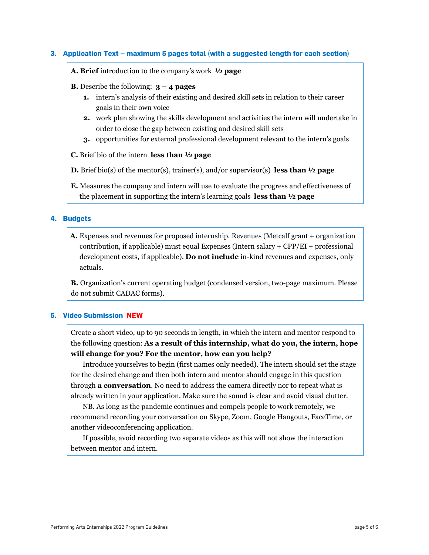#### **3. Application Text – maximum 5 pages total (with a suggested length for each section)**

**A. Brief** introduction to the company's work **½ page**

- **B.** Describe the following: **3 – 4 pages**
	- **1.** intern's analysis of their existing and desired skill sets in relation to their career goals in their own voice
	- **2.** work plan showing the skills development and activities the intern will undertake in order to close the gap between existing and desired skill sets
	- **3.** opportunities for external professional development relevant to the intern's goals
- **C.** Brief bio of the intern **less than ½ page**
- **D.** Brief bio(s) of the mentor(s), trainer(s), and/or supervisor(s) **less than ½ page**
- **E.** Measures the company and intern will use to evaluate the progress and effectiveness of the placement in supporting the intern's learning goals **less than ½ page**

#### **4. Budgets**

**A.** Expenses and revenues for proposed internship. Revenues (Metcalf grant + organization contribution, if applicable) must equal Expenses (Intern salary  $+$  CPP/EI  $+$  professional development costs, if applicable). **Do not include** in-kind revenues and expenses, only actuals.

**B.** Organization's current operating budget (condensed version, two-page maximum. Please do not submit CADAC forms).

#### **5. Video Submission NEW**

Create a short video, up to 90 seconds in length, in which the intern and mentor respond to the following question: **As a result of this internship, what do you, the intern, hope will change for you? For the mentor, how can you help?** 

Introduce yourselves to begin (first names only needed). The intern should set the stage for the desired change and then both intern and mentor should engage in this question through **a conversation**. No need to address the camera directly nor to repeat what is already written in your application. Make sure the sound is clear and avoid visual clutter.

NB. As long as the pandemic continues and compels people to work remotely, we recommend recording your conversation on Skype, Zoom, Google Hangouts, FaceTime, or another videoconferencing application.

If possible, avoid recording two separate videos as this will not show the interaction between mentor and intern.